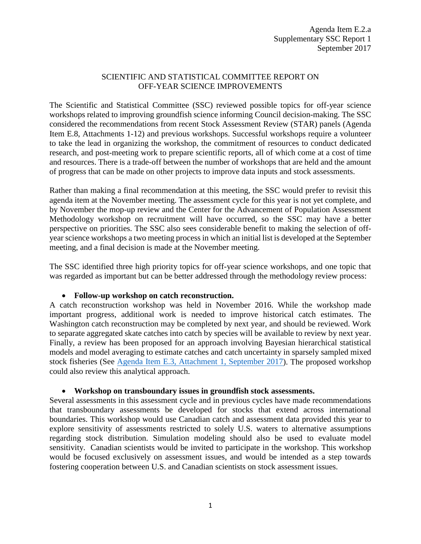# SCIENTIFIC AND STATISTICAL COMMITTEE REPORT ON OFF-YEAR SCIENCE IMPROVEMENTS

The Scientific and Statistical Committee (SSC) reviewed possible topics for off-year science workshops related to improving groundfish science informing Council decision-making. The SSC considered the recommendations from recent Stock Assessment Review (STAR) panels (Agenda Item E.8, Attachments 1-12) and previous workshops. Successful workshops require a volunteer to take the lead in organizing the workshop, the commitment of resources to conduct dedicated research, and post-meeting work to prepare scientific reports, all of which come at a cost of time and resources. There is a trade-off between the number of workshops that are held and the amount of progress that can be made on other projects to improve data inputs and stock assessments.

Rather than making a final recommendation at this meeting, the SSC would prefer to revisit this agenda item at the November meeting. The assessment cycle for this year is not yet complete, and by November the mop-up review and the Center for the Advancement of Population Assessment Methodology workshop on recruitment will have occurred, so the SSC may have a better perspective on priorities. The SSC also sees considerable benefit to making the selection of offyear science workshops a two meeting process in which an initial list is developed at the September meeting, and a final decision is made at the November meeting.

The SSC identified three high priority topics for off-year science workshops, and one topic that was regarded as important but can be better addressed through the methodology review process:

### • **Follow-up workshop on catch reconstruction.**

A catch reconstruction workshop was held in November 2016. While the workshop made important progress, additional work is needed to improve historical catch estimates. The Washington catch reconstruction may be completed by next year, and should be reviewed. Work to separate aggregated skate catches into catch by species will be available to review by next year. Finally, a review has been proposed for an approach involving Bayesian hierarchical statistical models and model averaging to estimate catches and catch uncertainty in sparsely sampled mixed stock fisheries (See [Agenda Item E.3, Attachment 1, September 2017\)](http://www.pcouncil.org/wp-content/uploads/2017/08/E3_Att1_ImprovingCatchEst_SEPT2017BB.pdf). The proposed workshop could also review this analytical approach.

### • **Workshop on transboundary issues in groundfish stock assessments.**

Several assessments in this assessment cycle and in previous cycles have made recommendations that transboundary assessments be developed for stocks that extend across international boundaries. This workshop would use Canadian catch and assessment data provided this year to explore sensitivity of assessments restricted to solely U.S. waters to alternative assumptions regarding stock distribution. Simulation modeling should also be used to evaluate model sensitivity. Canadian scientists would be invited to participate in the workshop. This workshop would be focused exclusively on assessment issues, and would be intended as a step towards fostering cooperation between U.S. and Canadian scientists on stock assessment issues.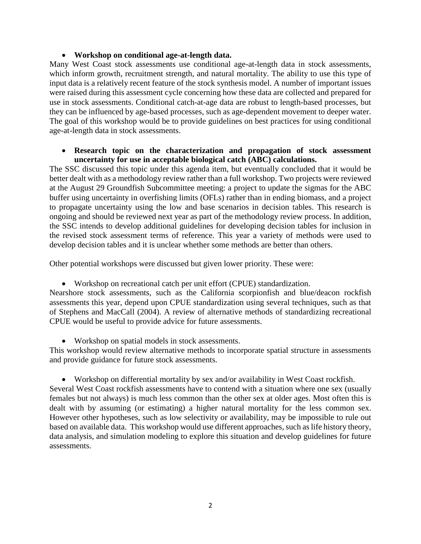## • **Workshop on conditional age-at-length data.**

Many West Coast stock assessments use conditional age-at-length data in stock assessments, which inform growth, recruitment strength, and natural mortality. The ability to use this type of input data is a relatively recent feature of the stock synthesis model. A number of important issues were raised during this assessment cycle concerning how these data are collected and prepared for use in stock assessments. Conditional catch-at-age data are robust to length-based processes, but they can be influenced by age-based processes, such as age-dependent movement to deeper water. The goal of this workshop would be to provide guidelines on best practices for using conditional age-at-length data in stock assessments.

### • **Research topic on the characterization and propagation of stock assessment uncertainty for use in acceptable biological catch (ABC) calculations.**

The SSC discussed this topic under this agenda item, but eventually concluded that it would be better dealt with as a methodology review rather than a full workshop. Two projects were reviewed at the August 29 Groundfish Subcommittee meeting: a project to update the sigmas for the ABC buffer using uncertainty in overfishing limits (OFLs) rather than in ending biomass, and a project to propagate uncertainty using the low and base scenarios in decision tables. This research is ongoing and should be reviewed next year as part of the methodology review process. In addition, the SSC intends to develop additional guidelines for developing decision tables for inclusion in the revised stock assessment terms of reference. This year a variety of methods were used to develop decision tables and it is unclear whether some methods are better than others.

Other potential workshops were discussed but given lower priority. These were:

• Workshop on recreational catch per unit effort (CPUE) standardization.

Nearshore stock assessments, such as the California scorpionfish and blue/deacon rockfish assessments this year, depend upon CPUE standardization using several techniques, such as that of Stephens and MacCall (2004). A review of alternative methods of standardizing recreational CPUE would be useful to provide advice for future assessments.

• Workshop on spatial models in stock assessments.

This workshop would review alternative methods to incorporate spatial structure in assessments and provide guidance for future stock assessments.

• Workshop on differential mortality by sex and/or availability in West Coast rockfish. Several West Coast rockfish assessments have to contend with a situation where one sex (usually females but not always) is much less common than the other sex at older ages. Most often this is dealt with by assuming (or estimating) a higher natural mortality for the less common sex. However other hypotheses, such as low selectivity or availability, may be impossible to rule out based on available data. This workshop would use different approaches, such as life history theory, data analysis, and simulation modeling to explore this situation and develop guidelines for future assessments.